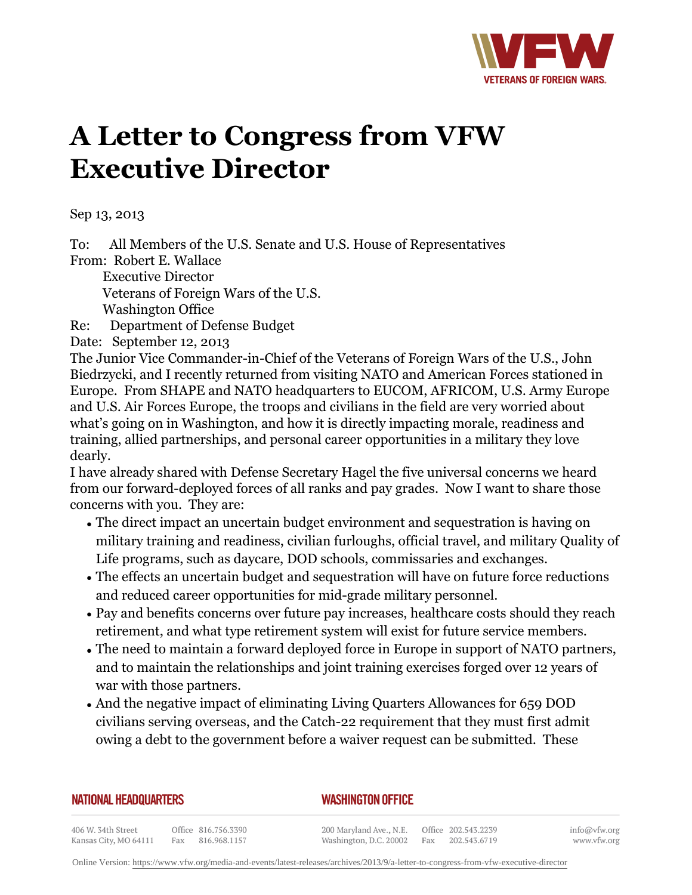

## **A Letter to Congress from VFW Executive Director**

Sep 13, 2013

To: All Members of the U.S. Senate and U.S. House of Representatives From: Robert E. Wallace

 Executive Director Veterans of Foreign Wars of the U.S. Washington Office

Re: Department of Defense Budget

Date: September 12, 2013

The Junior Vice Commander-in-Chief of the Veterans of Foreign Wars of the U.S., John Biedrzycki, and I recently returned from visiting NATO and American Forces stationed in Europe. From SHAPE and NATO headquarters to EUCOM, AFRICOM, U.S. Army Europe and U.S. Air Forces Europe, the troops and civilians in the field are very worried about what's going on in Washington, and how it is directly impacting morale, readiness and training, allied partnerships, and personal career opportunities in a military they love dearly.

I have already shared with Defense Secretary Hagel the five universal concerns we heard from our forward-deployed forces of all ranks and pay grades. Now I want to share those concerns with you. They are:

- $\bullet$  The direct impact an uncertain budget environment and sequestration is having on military training and readiness, civilian furloughs, official travel, and military Quality of Life programs, such as daycare, DOD schools, commissaries and exchanges.
- The effects an uncertain budget and sequestration will have on future force reductions and reduced career opportunities for mid-grade military personnel.
- Pay and benefits concerns over future pay increases, healthcare costs should they reach retirement, and what type retirement system will exist for future service members.
- The need to maintain a forward deployed force in Europe in support of NATO partners, and to maintain the relationships and joint training exercises forged over 12 years of war with those partners.
- And the negative impact of eliminating Living Quarters Allowances for 659 DOD civilians serving overseas, and the Catch-22 requirement that they must first admit owing a debt to the government before a waiver request can be submitted. These

| NATIONAL HEADQUARTERS |  |
|-----------------------|--|
|-----------------------|--|

*WASHINGTON OFFICE* 

406 W. 34th Street Office 816.756.3390 Fax 816.968.1157 Kansas City, MO 64111

200 Maryland Ave., N.E. Washington, D.C. 20002

Office 202.543.2239 Fax 202.543.6719

info@vfw.org www.vfw.org

Online Version:<https://www.vfw.org/media-and-events/latest-releases/archives/2013/9/a-letter-to-congress-from-vfw-executive-director>